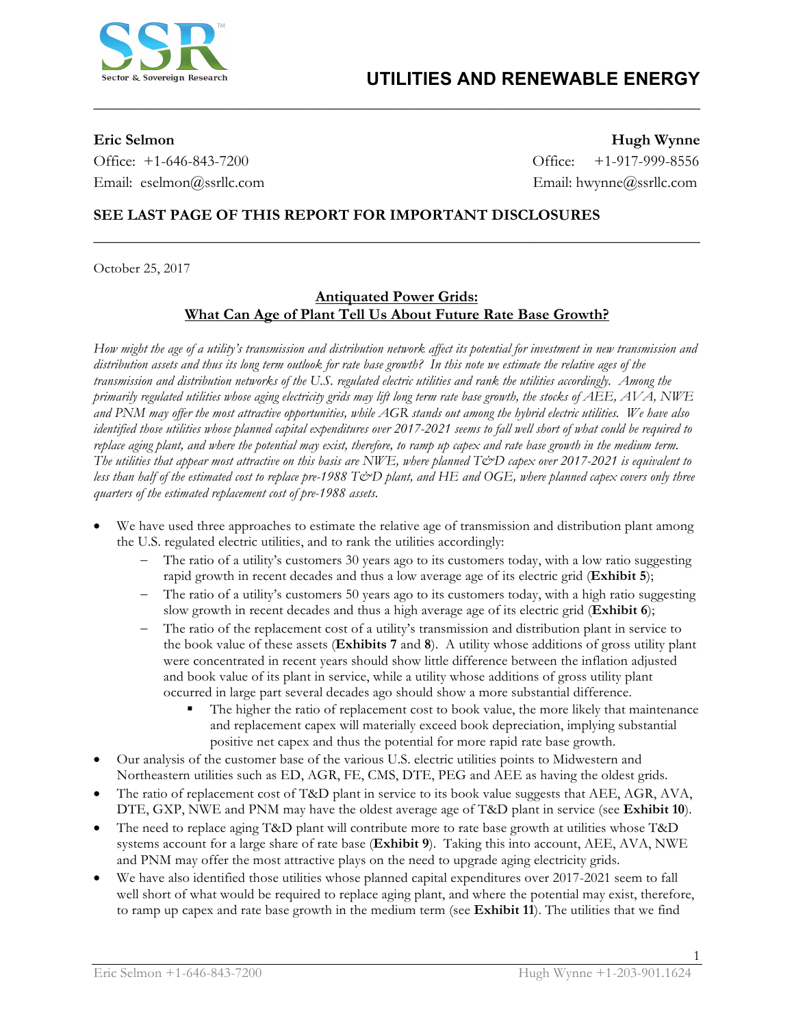

Office: +1-646-843-7200 Office: +1-917-999-8556 Email: eselmon@ssrllc.com Email: hwynne@ssrllc.com

**Eric Selmon Hugh Wynne**

### **SEE LAST PAGE OF THIS REPORT FOR IMPORTANT DISCLOSURES**

October 25, 2017

#### **Antiquated Power Grids: What Can Age of Plant Tell Us About Future Rate Base Growth?**

**\_\_\_\_\_\_\_\_\_\_\_\_\_\_\_\_\_\_\_\_\_\_\_\_\_\_\_\_\_\_\_\_\_\_\_\_\_\_\_\_\_\_\_\_\_\_\_\_\_\_\_\_\_\_\_\_\_\_\_\_\_\_\_\_\_\_\_\_\_\_\_\_\_\_\_\_\_\_**

**\_\_\_\_\_\_\_\_\_\_\_\_\_\_\_\_\_\_\_\_\_\_\_\_\_\_\_\_\_\_\_\_\_\_\_\_\_\_\_\_\_\_\_\_\_\_\_\_\_\_\_\_\_\_\_\_\_\_\_\_\_\_\_\_\_\_\_\_\_\_\_\_\_\_\_\_\_\_** 

*How might the age of a utility's transmission and distribution network affect its potential for investment in new transmission and distribution assets and thus its long term outlook for rate base growth? In this note we estimate the relative ages of the transmission and distribution networks of the U.S. regulated electric utilities and rank the utilities accordingly. Among the primarily regulated utilities whose aging electricity grids may lift long term rate base growth, the stocks of AEE, AVA, NWE and PNM may offer the most attractive opportunities, while AGR stands out among the hybrid electric utilities. We have also identified those utilities whose planned capital expenditures over 2017-2021 seems to fall well short of what could be required to replace aging plant, and where the potential may exist, therefore, to ramp up capex and rate base growth in the medium term. The utilities that appear most attractive on this basis are NWE, where planned T&D capex over 2017-2021 is equivalent to less than half of the estimated cost to replace pre-1988 T&D plant, and HE and OGE, where planned capex covers only three quarters of the estimated replacement cost of pre-1988 assets.*

- We have used three approaches to estimate the relative age of transmission and distribution plant among the U.S. regulated electric utilities, and to rank the utilities accordingly:
	- The ratio of a utility's customers 30 years ago to its customers today, with a low ratio suggesting rapid growth in recent decades and thus a low average age of its electric grid (**Exhibit 5**);
	- The ratio of a utility's customers 50 years ago to its customers today, with a high ratio suggesting slow growth in recent decades and thus a high average age of its electric grid (**Exhibit 6**);
	- The ratio of the replacement cost of a utility's transmission and distribution plant in service to the book value of these assets (**Exhibits 7** and **8**). A utility whose additions of gross utility plant were concentrated in recent years should show little difference between the inflation adjusted and book value of its plant in service, while a utility whose additions of gross utility plant occurred in large part several decades ago should show a more substantial difference.
		- The higher the ratio of replacement cost to book value, the more likely that maintenance and replacement capex will materially exceed book depreciation, implying substantial positive net capex and thus the potential for more rapid rate base growth.
- Our analysis of the customer base of the various U.S. electric utilities points to Midwestern and Northeastern utilities such as ED, AGR, FE, CMS, DTE, PEG and AEE as having the oldest grids.
- The ratio of replacement cost of T&D plant in service to its book value suggests that AEE, AGR, AVA, DTE, GXP, NWE and PNM may have the oldest average age of T&D plant in service (see **Exhibit 10**).
- The need to replace aging T&D plant will contribute more to rate base growth at utilities whose T&D systems account for a large share of rate base (**Exhibit 9**). Taking this into account, AEE, AVA, NWE and PNM may offer the most attractive plays on the need to upgrade aging electricity grids.
- We have also identified those utilities whose planned capital expenditures over 2017-2021 seem to fall well short of what would be required to replace aging plant, and where the potential may exist, therefore, to ramp up capex and rate base growth in the medium term (see **Exhibit 11**). The utilities that we find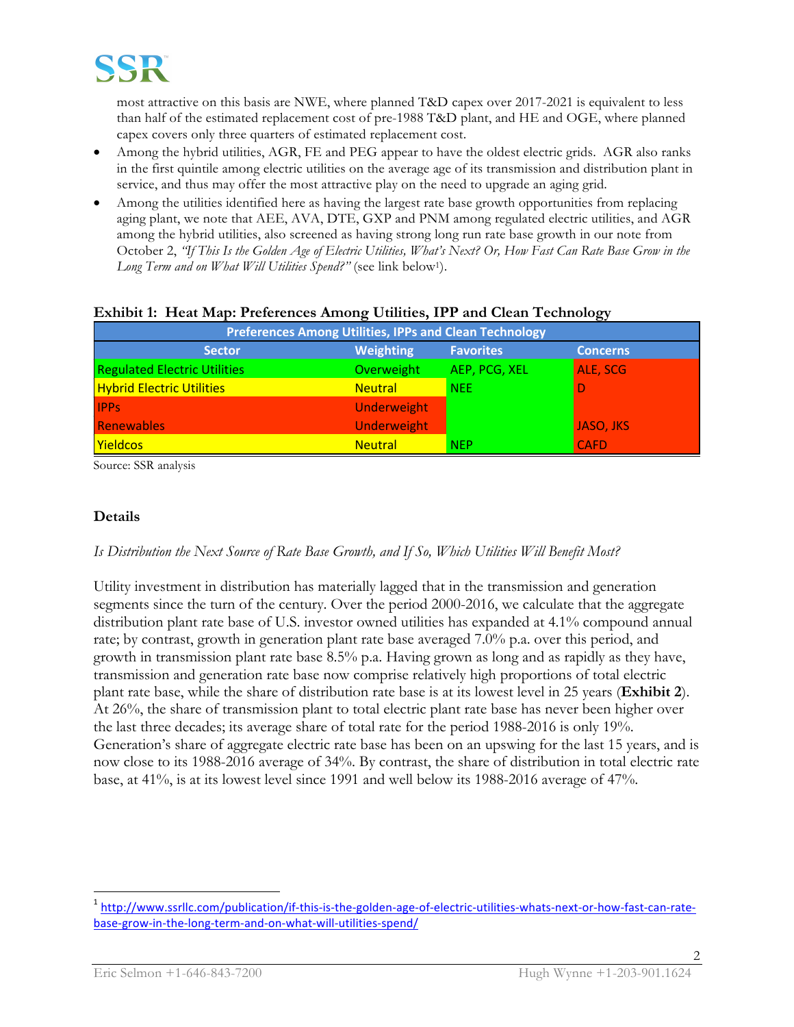

most attractive on this basis are NWE, where planned T&D capex over 2017-2021 is equivalent to less than half of the estimated replacement cost of pre-1988 T&D plant, and HE and OGE, where planned capex covers only three quarters of estimated replacement cost.

- Among the hybrid utilities, AGR, FE and PEG appear to have the oldest electric grids. AGR also ranks in the first quintile among electric utilities on the average age of its transmission and distribution plant in service, and thus may offer the most attractive play on the need to upgrade an aging grid.
- Among the utilities identified here as having the largest rate base growth opportunities from replacing aging plant, we note that AEE, AVA, DTE, GXP and PNM among regulated electric utilities, and AGR among the hybrid utilities, also screened as having strong long run rate base growth in our note from October 2, *"If This Is the Golden Age of Electric Utilities, What's Next? Or, How Fast Can Rate Base Grow in the Long Term and on What Will Utilities Spend?"* (see link below1).

| <b>Preferences Among Utilities, IPPs and Clean Technology</b> |                    |                  |                 |  |  |  |
|---------------------------------------------------------------|--------------------|------------------|-----------------|--|--|--|
| <b>Sector</b>                                                 | <b>Weighting</b>   | <b>Favorites</b> | <b>Concerns</b> |  |  |  |
| <b>Regulated Electric Utilities</b>                           | Overweight         | AEP, PCG, XEL    | ALE, SCG        |  |  |  |
| <b>Hybrid Electric Utilities</b>                              | <b>Neutral</b>     | <b>NEE</b>       | D               |  |  |  |
| <b>IPPs</b>                                                   | Underweight        |                  |                 |  |  |  |
| Renewables                                                    | <b>Underweight</b> |                  | JASO, JKS       |  |  |  |
| <b>Yieldcos</b>                                               | <b>Neutral</b>     | <b>NEP</b>       | <b>CAFD</b>     |  |  |  |

#### **Exhibit 1: Heat Map: Preferences Among Utilities, IPP and Clean Technology**

Source: SSR analysis

### **Details**

*Is Distribution the Next Source of Rate Base Growth, and If So, Which Utilities Will Benefit Most?*

Utility investment in distribution has materially lagged that in the transmission and generation segments since the turn of the century. Over the period 2000-2016, we calculate that the aggregate distribution plant rate base of U.S. investor owned utilities has expanded at 4.1% compound annual rate; by contrast, growth in generation plant rate base averaged 7.0% p.a. over this period, and growth in transmission plant rate base 8.5% p.a. Having grown as long and as rapidly as they have, transmission and generation rate base now comprise relatively high proportions of total electric plant rate base, while the share of distribution rate base is at its lowest level in 25 years (**Exhibit 2**). At 26%, the share of transmission plant to total electric plant rate base has never been higher over the last three decades; its average share of total rate for the period 1988-2016 is only 19%. Generation's share of aggregate electric rate base has been on an upswing for the last 15 years, and is now close to its 1988-2016 average of 34%. By contrast, the share of distribution in total electric rate base, at 41%, is at its lowest level since 1991 and well below its 1988-2016 average of 47%.

<sup>1</sup> http://www.ssrllc.com/publication/if-this-is-the-golden-age-of-electric-utilities-whats-next-or-how-fast-can-ratebase-grow-in-the-long-term-and-on-what-will-utilities-spend/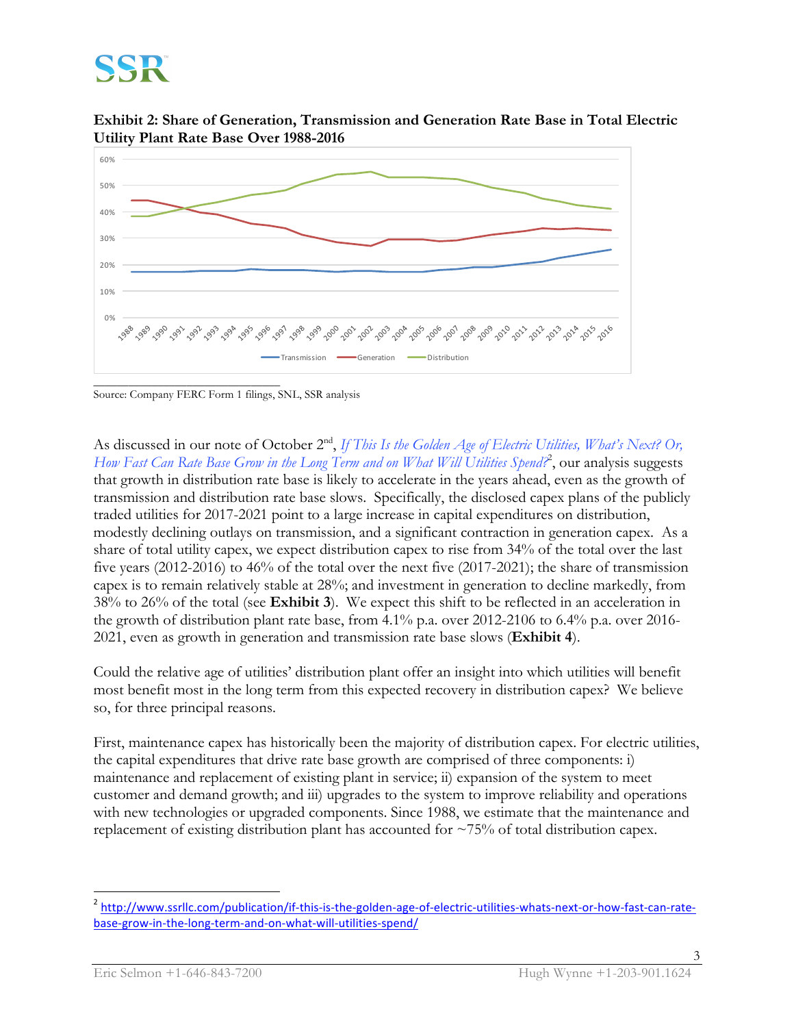**Exhibit 2: Share of Generation, Transmission and Generation Rate Base in Total Electric Utility Plant Rate Base Over 1988-2016**



\_\_\_\_\_\_\_\_\_\_\_\_\_\_\_\_\_\_\_\_\_\_\_\_\_\_\_\_\_\_\_\_ Source: Company FERC Form 1 filings, SNL, SSR analysis

As discussed in our note of October 2<sup>nd</sup>, *If This Is the Golden Age of Electric Utilities, What's Next? Or, How Fast Can Rate Base Grow in the Long Term and on What Will Utilities Spend?*<sup>2</sup> , our analysis suggests that growth in distribution rate base is likely to accelerate in the years ahead, even as the growth of transmission and distribution rate base slows. Specifically, the disclosed capex plans of the publicly traded utilities for 2017-2021 point to a large increase in capital expenditures on distribution, modestly declining outlays on transmission, and a significant contraction in generation capex. As a share of total utility capex, we expect distribution capex to rise from 34% of the total over the last five years (2012-2016) to 46% of the total over the next five (2017-2021); the share of transmission capex is to remain relatively stable at 28%; and investment in generation to decline markedly, from 38% to 26% of the total (see **Exhibit 3**). We expect this shift to be reflected in an acceleration in the growth of distribution plant rate base, from 4.1% p.a. over 2012-2106 to 6.4% p.a. over 2016- 2021, even as growth in generation and transmission rate base slows (**Exhibit 4**).

Could the relative age of utilities' distribution plant offer an insight into which utilities will benefit most benefit most in the long term from this expected recovery in distribution capex? We believe so, for three principal reasons.

First, maintenance capex has historically been the majority of distribution capex. For electric utilities, the capital expenditures that drive rate base growth are comprised of three components: i) maintenance and replacement of existing plant in service; ii) expansion of the system to meet customer and demand growth; and iii) upgrades to the system to improve reliability and operations with new technologies or upgraded components. Since 1988, we estimate that the maintenance and replacement of existing distribution plant has accounted for ~75% of total distribution capex.

<sup>&</sup>lt;sup>2</sup> http://www.ssrllc.com/publication/if-this-is-the-golden-age-of-electric-utilities-whats-next-or-how-fast-can-ratebase-grow-in-the-long-term-and-on-what-will-utilities-spend/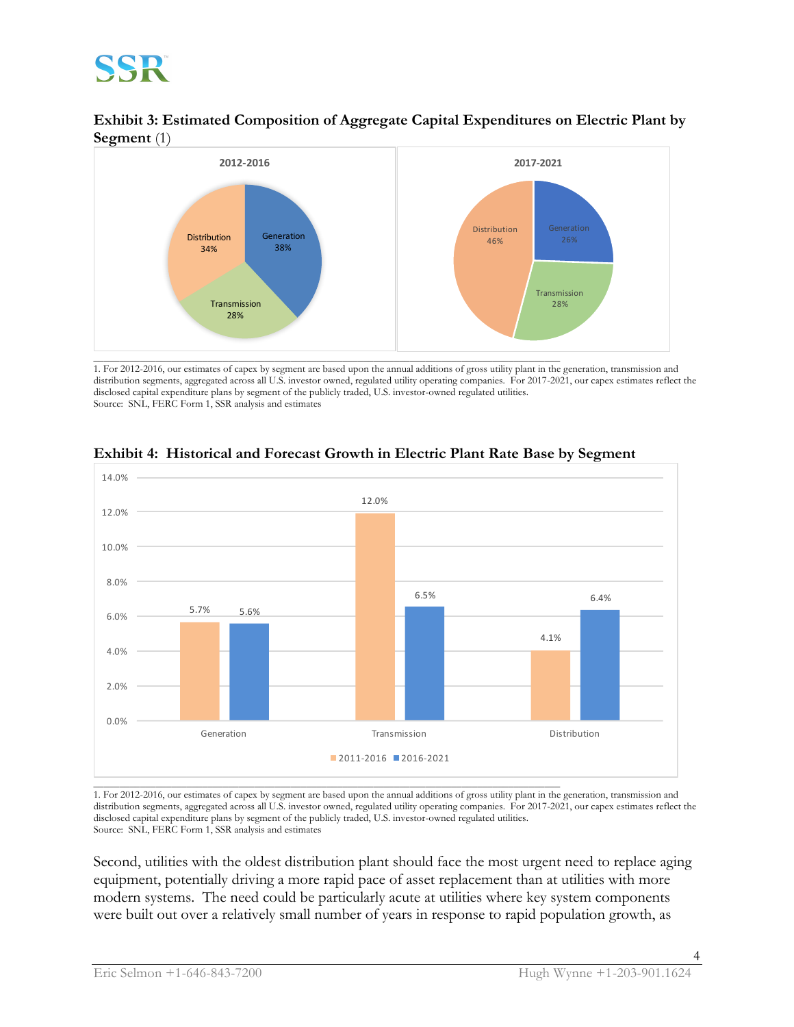



1. For 2012-2016, our estimates of capex by segment are based upon the annual additions of gross utility plant in the generation, transmission and distribution segments, aggregated across all U.S. investor owned, regulated utility operating companies. For 2017-2021, our capex estimates reflect the disclosed capital expenditure plans by segment of the publicly traded, U.S. investor-owned regulated utilities. Source: SNL, FERC Form 1, SSR analysis and estimates



### **Exhibit 4: Historical and Forecast Growth in Electric Plant Rate Base by Segment**

1. For 2012-2016, our estimates of capex by segment are based upon the annual additions of gross utility plant in the generation, transmission and distribution segments, aggregated across all U.S. investor owned, regulated utility operating companies. For 2017-2021, our capex estimates reflect the disclosed capital expenditure plans by segment of the publicly traded, U.S. investor-owned regulated utilities. Source: SNL, FERC Form 1, SSR analysis and estimates

Second, utilities with the oldest distribution plant should face the most urgent need to replace aging equipment, potentially driving a more rapid pace of asset replacement than at utilities with more modern systems. The need could be particularly acute at utilities where key system components were built out over a relatively small number of years in response to rapid population growth, as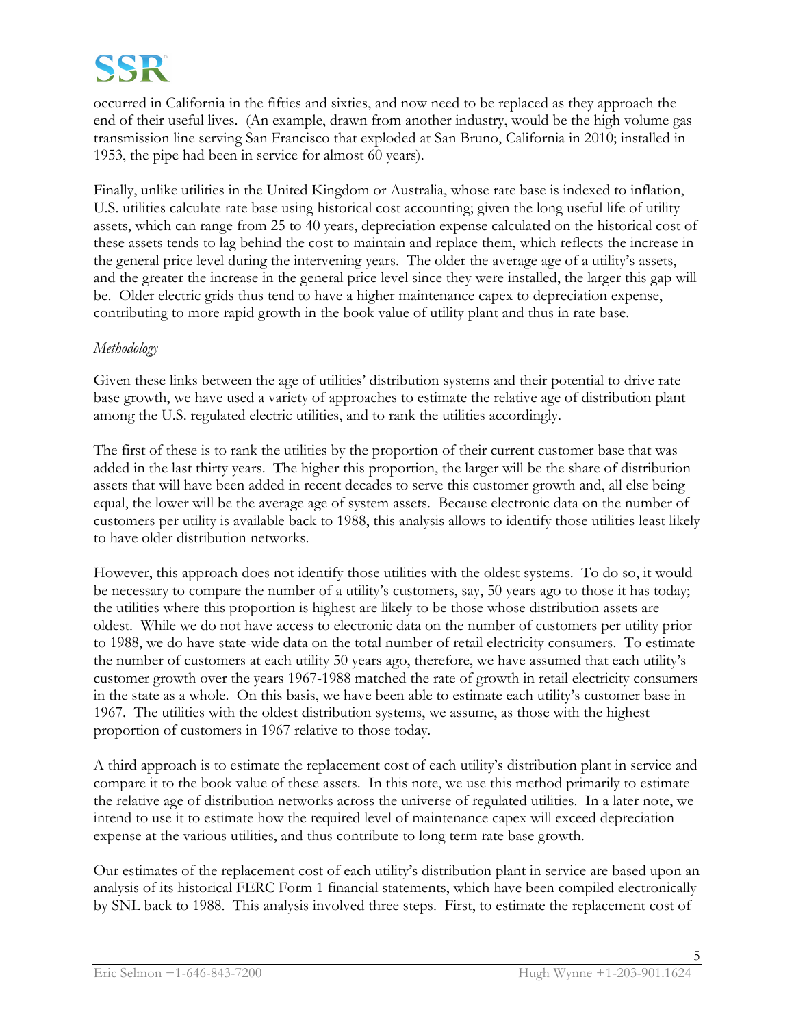

occurred in California in the fifties and sixties, and now need to be replaced as they approach the end of their useful lives. (An example, drawn from another industry, would be the high volume gas transmission line serving San Francisco that exploded at San Bruno, California in 2010; installed in 1953, the pipe had been in service for almost 60 years).

Finally, unlike utilities in the United Kingdom or Australia, whose rate base is indexed to inflation, U.S. utilities calculate rate base using historical cost accounting; given the long useful life of utility assets, which can range from 25 to 40 years, depreciation expense calculated on the historical cost of these assets tends to lag behind the cost to maintain and replace them, which reflects the increase in the general price level during the intervening years. The older the average age of a utility's assets, and the greater the increase in the general price level since they were installed, the larger this gap will be. Older electric grids thus tend to have a higher maintenance capex to depreciation expense, contributing to more rapid growth in the book value of utility plant and thus in rate base.

#### *Methodology*

Given these links between the age of utilities' distribution systems and their potential to drive rate base growth, we have used a variety of approaches to estimate the relative age of distribution plant among the U.S. regulated electric utilities, and to rank the utilities accordingly.

The first of these is to rank the utilities by the proportion of their current customer base that was added in the last thirty years. The higher this proportion, the larger will be the share of distribution assets that will have been added in recent decades to serve this customer growth and, all else being equal, the lower will be the average age of system assets. Because electronic data on the number of customers per utility is available back to 1988, this analysis allows to identify those utilities least likely to have older distribution networks.

However, this approach does not identify those utilities with the oldest systems. To do so, it would be necessary to compare the number of a utility's customers, say, 50 years ago to those it has today; the utilities where this proportion is highest are likely to be those whose distribution assets are oldest. While we do not have access to electronic data on the number of customers per utility prior to 1988, we do have state-wide data on the total number of retail electricity consumers. To estimate the number of customers at each utility 50 years ago, therefore, we have assumed that each utility's customer growth over the years 1967-1988 matched the rate of growth in retail electricity consumers in the state as a whole. On this basis, we have been able to estimate each utility's customer base in 1967. The utilities with the oldest distribution systems, we assume, as those with the highest proportion of customers in 1967 relative to those today.

A third approach is to estimate the replacement cost of each utility's distribution plant in service and compare it to the book value of these assets. In this note, we use this method primarily to estimate the relative age of distribution networks across the universe of regulated utilities. In a later note, we intend to use it to estimate how the required level of maintenance capex will exceed depreciation expense at the various utilities, and thus contribute to long term rate base growth.

Our estimates of the replacement cost of each utility's distribution plant in service are based upon an analysis of its historical FERC Form 1 financial statements, which have been compiled electronically by SNL back to 1988. This analysis involved three steps. First, to estimate the replacement cost of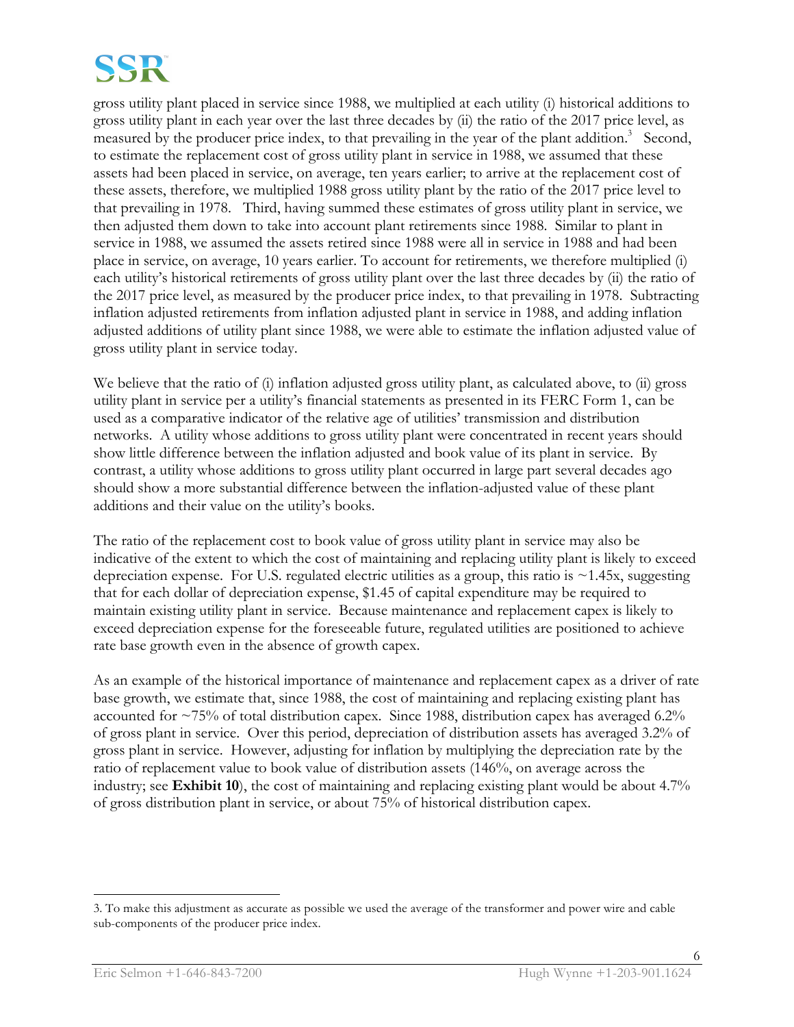

gross utility plant placed in service since 1988, we multiplied at each utility (i) historical additions to gross utility plant in each year over the last three decades by (ii) the ratio of the 2017 price level, as measured by the producer price index, to that prevailing in the year of the plant addition.<sup>3</sup> Second, to estimate the replacement cost of gross utility plant in service in 1988, we assumed that these assets had been placed in service, on average, ten years earlier; to arrive at the replacement cost of these assets, therefore, we multiplied 1988 gross utility plant by the ratio of the 2017 price level to that prevailing in 1978. Third, having summed these estimates of gross utility plant in service, we then adjusted them down to take into account plant retirements since 1988. Similar to plant in service in 1988, we assumed the assets retired since 1988 were all in service in 1988 and had been place in service, on average, 10 years earlier. To account for retirements, we therefore multiplied (i) each utility's historical retirements of gross utility plant over the last three decades by (ii) the ratio of the 2017 price level, as measured by the producer price index, to that prevailing in 1978. Subtracting inflation adjusted retirements from inflation adjusted plant in service in 1988, and adding inflation adjusted additions of utility plant since 1988, we were able to estimate the inflation adjusted value of gross utility plant in service today.

We believe that the ratio of (i) inflation adjusted gross utility plant, as calculated above, to (ii) gross utility plant in service per a utility's financial statements as presented in its FERC Form 1, can be used as a comparative indicator of the relative age of utilities' transmission and distribution networks. A utility whose additions to gross utility plant were concentrated in recent years should show little difference between the inflation adjusted and book value of its plant in service. By contrast, a utility whose additions to gross utility plant occurred in large part several decades ago should show a more substantial difference between the inflation-adjusted value of these plant additions and their value on the utility's books.

The ratio of the replacement cost to book value of gross utility plant in service may also be indicative of the extent to which the cost of maintaining and replacing utility plant is likely to exceed depreciation expense. For U.S. regulated electric utilities as a group, this ratio is  $\sim$ 1.45x, suggesting that for each dollar of depreciation expense, \$1.45 of capital expenditure may be required to maintain existing utility plant in service. Because maintenance and replacement capex is likely to exceed depreciation expense for the foreseeable future, regulated utilities are positioned to achieve rate base growth even in the absence of growth capex.

As an example of the historical importance of maintenance and replacement capex as a driver of rate base growth, we estimate that, since 1988, the cost of maintaining and replacing existing plant has accounted for ~75% of total distribution capex. Since 1988, distribution capex has averaged 6.2% of gross plant in service. Over this period, depreciation of distribution assets has averaged 3.2% of gross plant in service. However, adjusting for inflation by multiplying the depreciation rate by the ratio of replacement value to book value of distribution assets (146%, on average across the industry; see **Exhibit 10**), the cost of maintaining and replacing existing plant would be about 4.7% of gross distribution plant in service, or about 75% of historical distribution capex.

 $\overline{a}$ 

<sup>3.</sup> To make this adjustment as accurate as possible we used the average of the transformer and power wire and cable sub-components of the producer price index.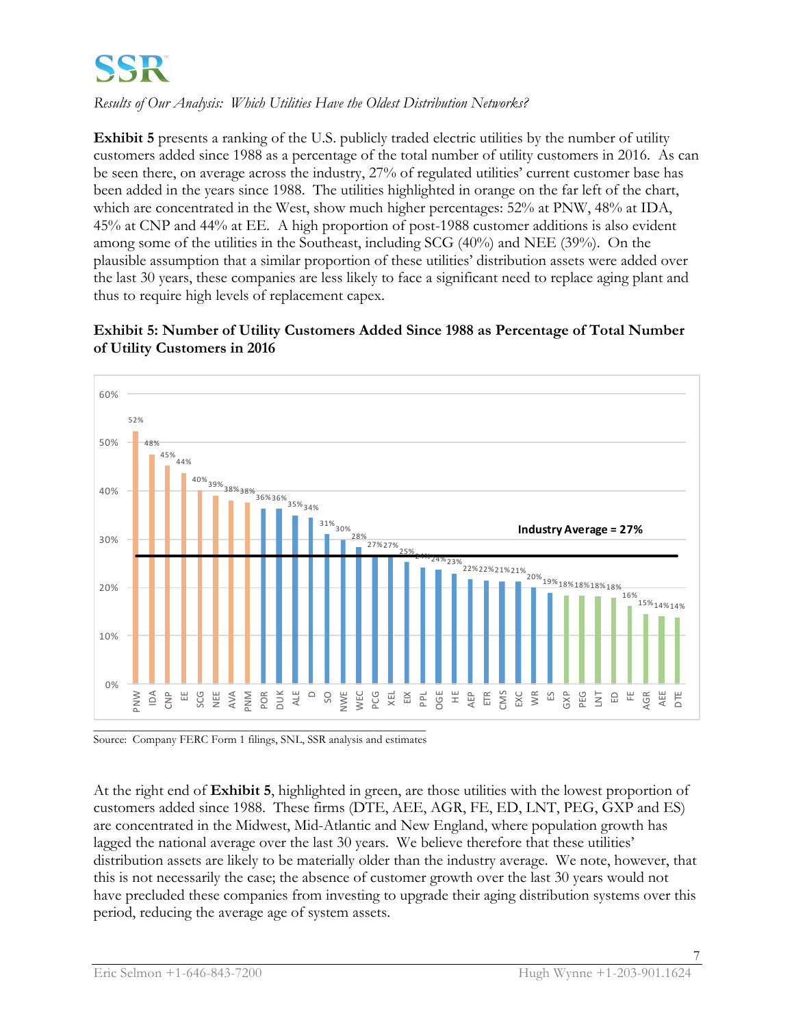*Results of Our Analysis: Which Utilities Have the Oldest Distribution Networks?*

**Exhibit 5** presents a ranking of the U.S. publicly traded electric utilities by the number of utility customers added since 1988 as a percentage of the total number of utility customers in 2016. As can be seen there, on average across the industry, 27% of regulated utilities' current customer base has been added in the years since 1988. The utilities highlighted in orange on the far left of the chart, which are concentrated in the West, show much higher percentages: 52% at PNW, 48% at IDA, 45% at CNP and 44% at EE. A high proportion of post-1988 customer additions is also evident among some of the utilities in the Southeast, including SCG (40%) and NEE (39%). On the plausible assumption that a similar proportion of these utilities' distribution assets were added over the last 30 years, these companies are less likely to face a significant need to replace aging plant and thus to require high levels of replacement capex.

### **Exhibit 5: Number of Utility Customers Added Since 1988 as Percentage of Total Number of Utility Customers in 2016**



Source: Company FERC Form 1 filings, SNL, SSR analysis and estimates

At the right end of **Exhibit 5**, highlighted in green, are those utilities with the lowest proportion of customers added since 1988. These firms (DTE, AEE, AGR, FE, ED, LNT, PEG, GXP and ES) are concentrated in the Midwest, Mid-Atlantic and New England, where population growth has lagged the national average over the last 30 years. We believe therefore that these utilities' distribution assets are likely to be materially older than the industry average. We note, however, that this is not necessarily the case; the absence of customer growth over the last 30 years would not have precluded these companies from investing to upgrade their aging distribution systems over this period, reducing the average age of system assets.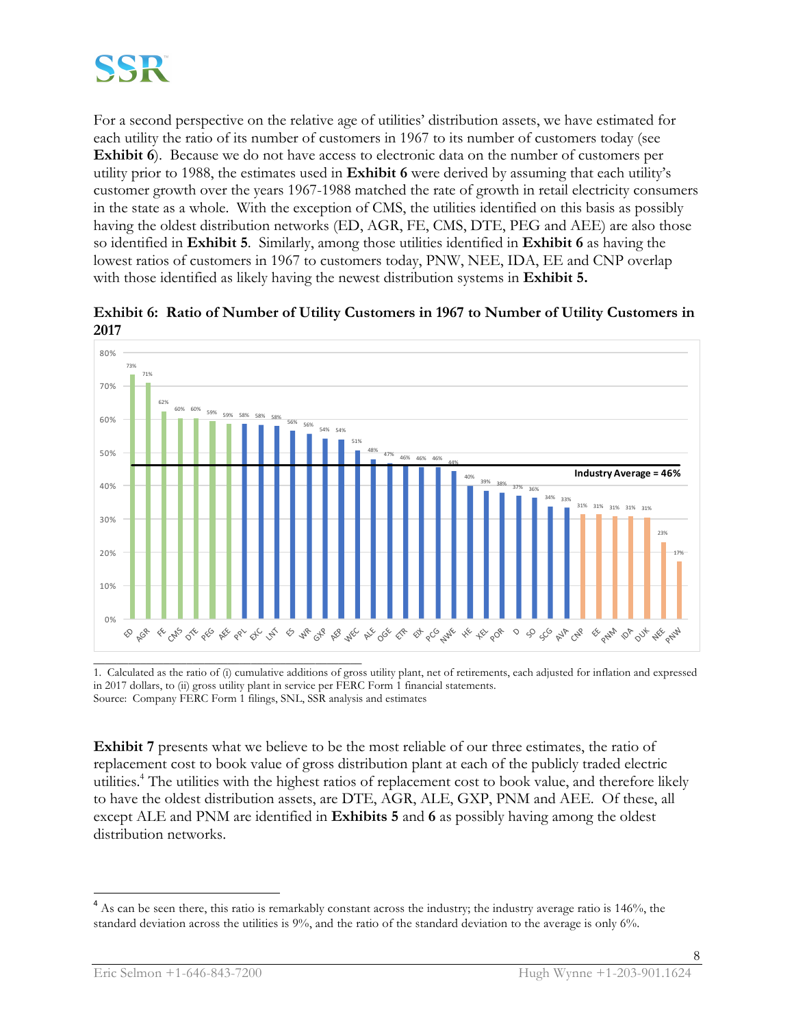

For a second perspective on the relative age of utilities' distribution assets, we have estimated for each utility the ratio of its number of customers in 1967 to its number of customers today (see **Exhibit 6**). Because we do not have access to electronic data on the number of customers per utility prior to 1988, the estimates used in **Exhibit 6** were derived by assuming that each utility's customer growth over the years 1967-1988 matched the rate of growth in retail electricity consumers in the state as a whole. With the exception of CMS, the utilities identified on this basis as possibly having the oldest distribution networks (ED, AGR, FE, CMS, DTE, PEG and AEE) are also those so identified in **Exhibit 5**. Similarly, among those utilities identified in **Exhibit 6** as having the lowest ratios of customers in 1967 to customers today, PNW, NEE, IDA, EE and CNP overlap with those identified as likely having the newest distribution systems in **Exhibit 5.**



**Exhibit 6: Ratio of Number of Utility Customers in 1967 to Number of Utility Customers in 2017** 

\_\_\_\_\_\_\_\_\_\_\_\_\_\_\_\_\_\_\_\_\_\_\_\_\_\_\_\_\_\_\_\_\_\_\_\_\_\_\_\_\_\_\_\_\_\_ 1. Calculated as the ratio of (i) cumulative additions of gross utility plant, net of retirements, each adjusted for inflation and expressed in 2017 dollars, to (ii) gross utility plant in service per FERC Form 1 financial statements. Source: Company FERC Form 1 filings, SNL, SSR analysis and estimates

**Exhibit 7** presents what we believe to be the most reliable of our three estimates, the ratio of replacement cost to book value of gross distribution plant at each of the publicly traded electric utilities.4 The utilities with the highest ratios of replacement cost to book value, and therefore likely to have the oldest distribution assets, are DTE, AGR, ALE, GXP, PNM and AEE. Of these, all except ALE and PNM are identified in **Exhibits 5** and **6** as possibly having among the oldest distribution networks.

<sup>&</sup>lt;sup>4</sup> As can be seen there, this ratio is remarkably constant across the industry; the industry average ratio is 146%, the standard deviation across the utilities is 9%, and the ratio of the standard deviation to the average is only 6%.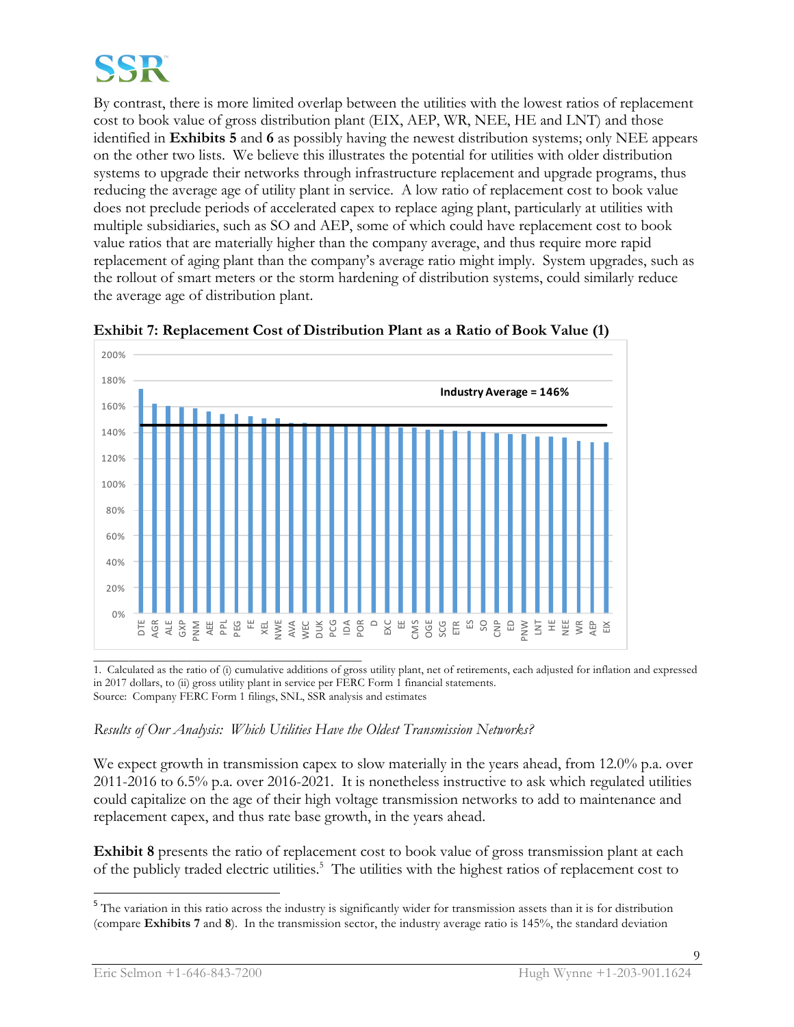

By contrast, there is more limited overlap between the utilities with the lowest ratios of replacement cost to book value of gross distribution plant (EIX, AEP, WR, NEE, HE and LNT) and those identified in **Exhibits 5** and **6** as possibly having the newest distribution systems; only NEE appears on the other two lists. We believe this illustrates the potential for utilities with older distribution systems to upgrade their networks through infrastructure replacement and upgrade programs, thus reducing the average age of utility plant in service. A low ratio of replacement cost to book value does not preclude periods of accelerated capex to replace aging plant, particularly at utilities with multiple subsidiaries, such as SO and AEP, some of which could have replacement cost to book value ratios that are materially higher than the company average, and thus require more rapid replacement of aging plant than the company's average ratio might imply. System upgrades, such as the rollout of smart meters or the storm hardening of distribution systems, could similarly reduce the average age of distribution plant.



**Exhibit 7: Replacement Cost of Distribution Plant as a Ratio of Book Value (1)**

1. Calculated as the ratio of (i) cumulative additions of gross utility plant, net of retirements, each adjusted for inflation and expressed in 2017 dollars, to (ii) gross utility plant in service per FERC Form 1 financial statements. Source: Company FERC Form 1 filings, SNL, SSR analysis and estimates

#### *Results of Our Analysis: Which Utilities Have the Oldest Transmission Networks?*

We expect growth in transmission capex to slow materially in the years ahead, from 12.0% p.a. over 2011-2016 to 6.5% p.a. over 2016-2021. It is nonetheless instructive to ask which regulated utilities could capitalize on the age of their high voltage transmission networks to add to maintenance and replacement capex, and thus rate base growth, in the years ahead.

**Exhibit 8** presents the ratio of replacement cost to book value of gross transmission plant at each of the publicly traded electric utilities.<sup>5</sup> The utilities with the highest ratios of replacement cost to

<sup>&</sup>lt;sup>5</sup> The variation in this ratio across the industry is significantly wider for transmission assets than it is for distribution (compare **Exhibits 7** and **8**). In the transmission sector, the industry average ratio is 145%, the standard deviation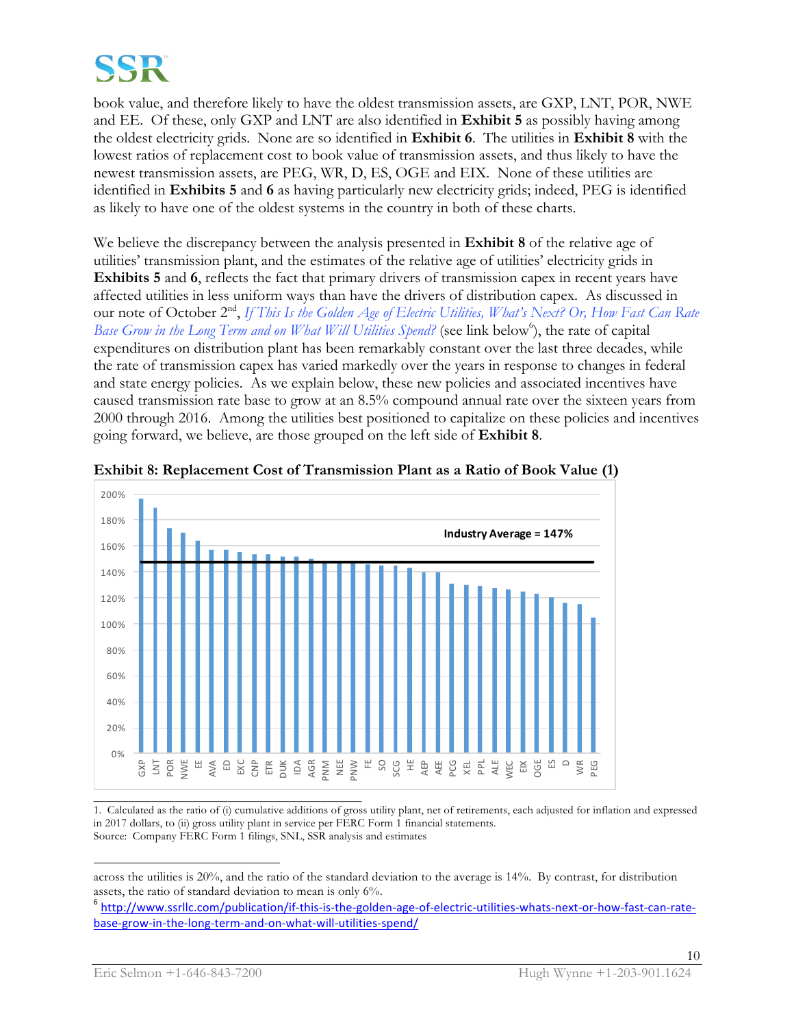

book value, and therefore likely to have the oldest transmission assets, are GXP, LNT, POR, NWE and EE. Of these, only GXP and LNT are also identified in **Exhibit 5** as possibly having among the oldest electricity grids. None are so identified in **Exhibit 6**. The utilities in **Exhibit 8** with the lowest ratios of replacement cost to book value of transmission assets, and thus likely to have the newest transmission assets, are PEG, WR, D, ES, OGE and EIX. None of these utilities are identified in **Exhibits 5** and **6** as having particularly new electricity grids; indeed, PEG is identified as likely to have one of the oldest systems in the country in both of these charts.

We believe the discrepancy between the analysis presented in **Exhibit 8** of the relative age of utilities' transmission plant, and the estimates of the relative age of utilities' electricity grids in **Exhibits 5** and **6**, reflects the fact that primary drivers of transmission capex in recent years have affected utilities in less uniform ways than have the drivers of distribution capex. As discussed in our note of October 2nd, *If This Is the Golden Age of Electric Utilities, What's Next? Or, How Fast Can Rate*  Base Grow in the Long Term and on *What Will Utilities Spend?* (see link below<sup>6</sup>), the rate of capital expenditures on distribution plant has been remarkably constant over the last three decades, while the rate of transmission capex has varied markedly over the years in response to changes in federal and state energy policies. As we explain below, these new policies and associated incentives have caused transmission rate base to grow at an 8.5% compound annual rate over the sixteen years from 2000 through 2016. Among the utilities best positioned to capitalize on these policies and incentives going forward, we believe, are those grouped on the left side of **Exhibit 8**.



**Exhibit 8: Replacement Cost of Transmission Plant as a Ratio of Book Value (1)**

1. Calculated as the ratio of (i) cumulative additions of gross utility plant, net of retirements, each adjusted for inflation and expressed in 2017 dollars, to (ii) gross utility plant in service per FERC Form 1 financial statements. Source: Company FERC Form 1 filings, SNL, SSR analysis and estimates

 $\overline{a}$ across the utilities is 20%, and the ratio of the standard deviation to the average is 14%. By contrast, for distribution assets, the ratio of standard deviation to mean is only 6%.

<sup>6</sup> http://www.ssrllc.com/publication/if-this-is-the-golden-age-of-electric-utilities-whats-next-or-how-fast-can-ratebase-grow-in-the-long-term-and-on-what-will-utilities-spend/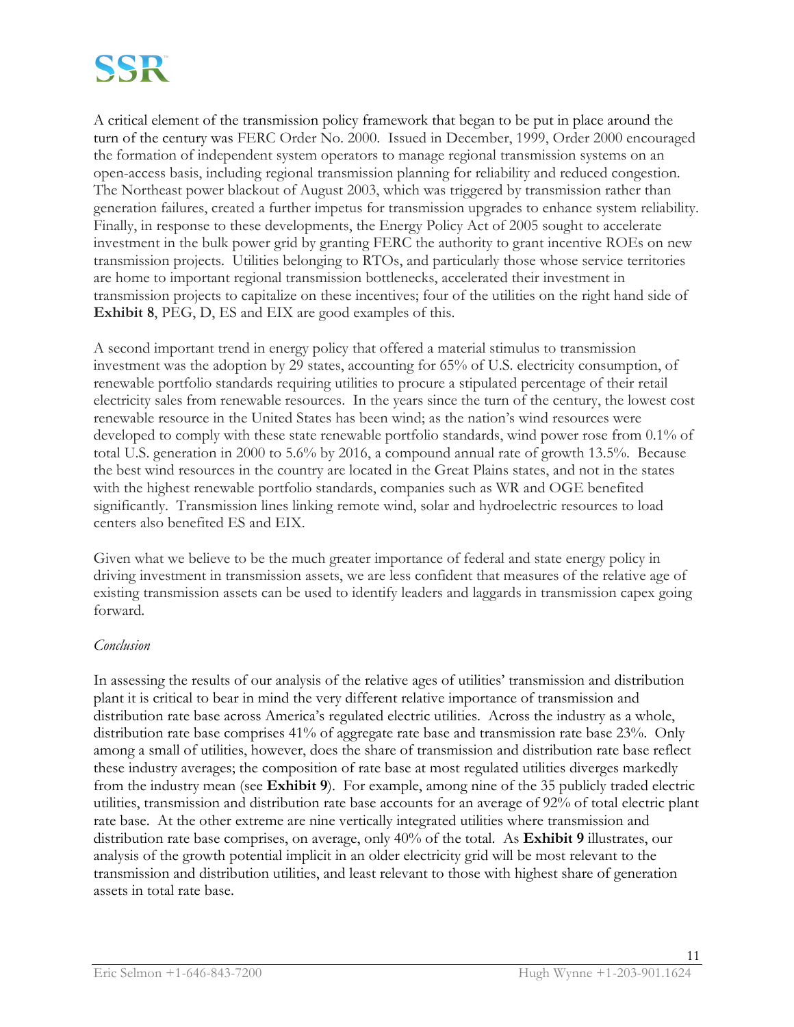A critical element of the transmission policy framework that began to be put in place around the turn of the century was FERC Order No. 2000. Issued in December, 1999, Order 2000 encouraged the formation of independent system operators to manage regional transmission systems on an open-access basis, including regional transmission planning for reliability and reduced congestion. The Northeast power blackout of August 2003, which was triggered by transmission rather than generation failures, created a further impetus for transmission upgrades to enhance system reliability. Finally, in response to these developments, the Energy Policy Act of 2005 sought to accelerate investment in the bulk power grid by granting FERC the authority to grant incentive ROEs on new transmission projects. Utilities belonging to RTOs, and particularly those whose service territories are home to important regional transmission bottlenecks, accelerated their investment in transmission projects to capitalize on these incentives; four of the utilities on the right hand side of **Exhibit 8**, PEG, D, ES and EIX are good examples of this.

A second important trend in energy policy that offered a material stimulus to transmission investment was the adoption by 29 states, accounting for 65% of U.S. electricity consumption, of renewable portfolio standards requiring utilities to procure a stipulated percentage of their retail electricity sales from renewable resources. In the years since the turn of the century, the lowest cost renewable resource in the United States has been wind; as the nation's wind resources were developed to comply with these state renewable portfolio standards, wind power rose from 0.1% of total U.S. generation in 2000 to 5.6% by 2016, a compound annual rate of growth 13.5%. Because the best wind resources in the country are located in the Great Plains states, and not in the states with the highest renewable portfolio standards, companies such as WR and OGE benefited significantly. Transmission lines linking remote wind, solar and hydroelectric resources to load centers also benefited ES and EIX.

Given what we believe to be the much greater importance of federal and state energy policy in driving investment in transmission assets, we are less confident that measures of the relative age of existing transmission assets can be used to identify leaders and laggards in transmission capex going forward.

#### *Conclusion*

In assessing the results of our analysis of the relative ages of utilities' transmission and distribution plant it is critical to bear in mind the very different relative importance of transmission and distribution rate base across America's regulated electric utilities. Across the industry as a whole, distribution rate base comprises 41% of aggregate rate base and transmission rate base 23%. Only among a small of utilities, however, does the share of transmission and distribution rate base reflect these industry averages; the composition of rate base at most regulated utilities diverges markedly from the industry mean (see **Exhibit 9**). For example, among nine of the 35 publicly traded electric utilities, transmission and distribution rate base accounts for an average of 92% of total electric plant rate base. At the other extreme are nine vertically integrated utilities where transmission and distribution rate base comprises, on average, only 40% of the total. As **Exhibit 9** illustrates, our analysis of the growth potential implicit in an older electricity grid will be most relevant to the transmission and distribution utilities, and least relevant to those with highest share of generation assets in total rate base.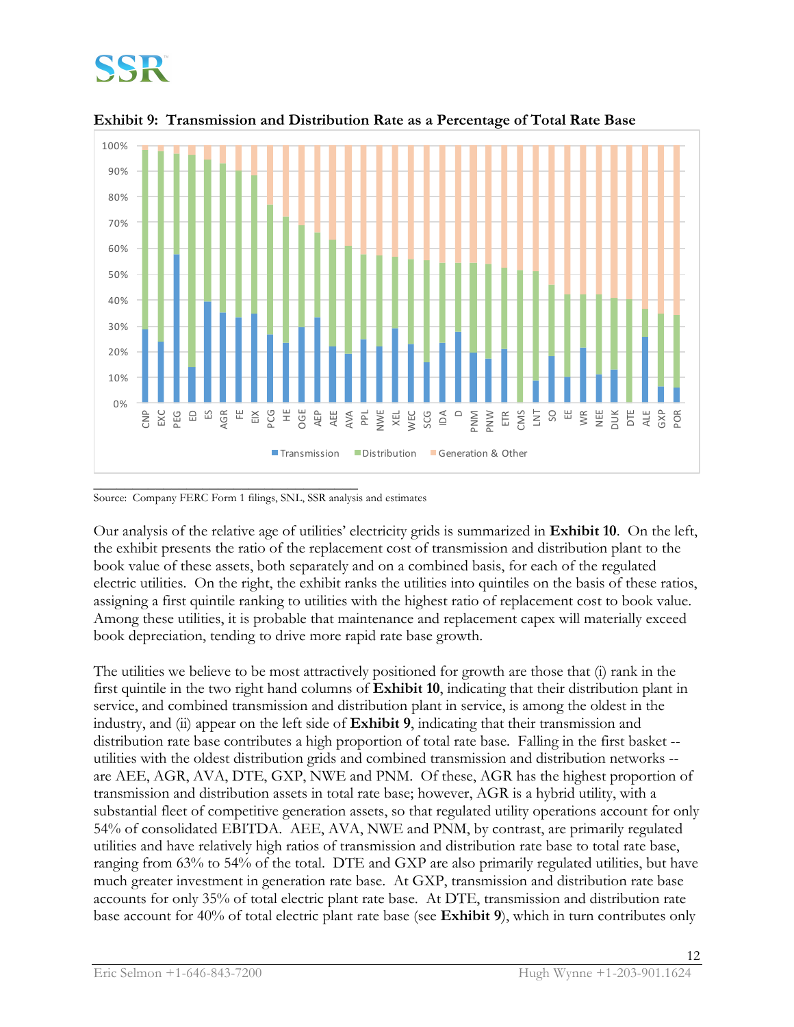



**Exhibit 9: Transmission and Distribution Rate as a Percentage of Total Rate Base**

Source: Company FERC Form 1 filings, SNL, SSR analysis and estimates

Our analysis of the relative age of utilities' electricity grids is summarized in **Exhibit 10**. On the left, the exhibit presents the ratio of the replacement cost of transmission and distribution plant to the book value of these assets, both separately and on a combined basis, for each of the regulated electric utilities. On the right, the exhibit ranks the utilities into quintiles on the basis of these ratios, assigning a first quintile ranking to utilities with the highest ratio of replacement cost to book value. Among these utilities, it is probable that maintenance and replacement capex will materially exceed book depreciation, tending to drive more rapid rate base growth.

The utilities we believe to be most attractively positioned for growth are those that (i) rank in the first quintile in the two right hand columns of **Exhibit 10**, indicating that their distribution plant in service, and combined transmission and distribution plant in service, is among the oldest in the industry, and (ii) appear on the left side of **Exhibit 9**, indicating that their transmission and distribution rate base contributes a high proportion of total rate base. Falling in the first basket - utilities with the oldest distribution grids and combined transmission and distribution networks - are AEE, AGR, AVA, DTE, GXP, NWE and PNM. Of these, AGR has the highest proportion of transmission and distribution assets in total rate base; however, AGR is a hybrid utility, with a substantial fleet of competitive generation assets, so that regulated utility operations account for only 54% of consolidated EBITDA. AEE, AVA, NWE and PNM, by contrast, are primarily regulated utilities and have relatively high ratios of transmission and distribution rate base to total rate base, ranging from 63% to 54% of the total. DTE and GXP are also primarily regulated utilities, but have much greater investment in generation rate base. At GXP, transmission and distribution rate base accounts for only 35% of total electric plant rate base. At DTE, transmission and distribution rate base account for 40% of total electric plant rate base (see **Exhibit 9**), which in turn contributes only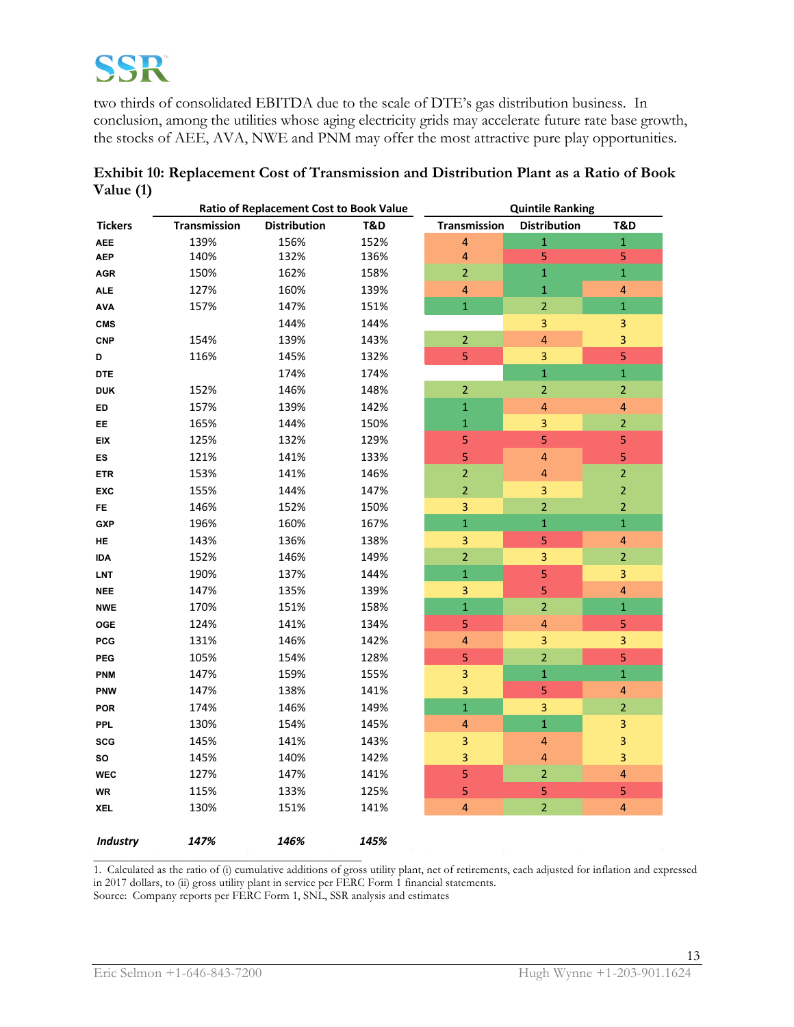two thirds of consolidated EBITDA due to the scale of DTE's gas distribution business. In conclusion, among the utilities whose aging electricity grids may accelerate future rate base growth, the stocks of AEE, AVA, NWE and PNM may offer the most attractive pure play opportunities.

|                 | <b>Ratio of Replacement Cost to Book Value</b> |                     | <b>Quintile Ranking</b> |                         |                         |                         |
|-----------------|------------------------------------------------|---------------------|-------------------------|-------------------------|-------------------------|-------------------------|
| <b>Tickers</b>  | Transmission                                   | <b>Distribution</b> | T&D                     | Transmission            | <b>Distribution</b>     | T&D                     |
| <b>AEE</b>      | 139%                                           | 156%                | 152%                    | $\overline{\mathbf{4}}$ | $\mathbf 1$             | $\mathbf 1$             |
| <b>AEP</b>      | 140%                                           | 132%                | 136%                    | $\overline{\mathbf{4}}$ | 5                       | 5                       |
| <b>AGR</b>      | 150%                                           | 162%                | 158%                    | $\mathbf 2$             | $\mathbf 1$             | $\mathbf 1$             |
| <b>ALE</b>      | 127%                                           | 160%                | 139%                    | $\overline{\mathbf{4}}$ | $\mathbf 1$             | $\overline{\mathbf{4}}$ |
| <b>AVA</b>      | 157%                                           | 147%                | 151%                    | $\mathbf{1}$            | $\overline{2}$          | $\mathbf{1}$            |
| <b>CMS</b>      |                                                | 144%                | 144%                    |                         | 3                       | $\overline{\mathbf{3}}$ |
| <b>CNP</b>      | 154%                                           | 139%                | 143%                    | $\overline{2}$          | $\overline{\mathbf{4}}$ | 3                       |
| D               | 116%                                           | 145%                | 132%                    | 5                       | 3                       | 5                       |
| <b>DTE</b>      |                                                | 174%                | 174%                    |                         | $\mathbf 1$             | $\mathbf 1$             |
| <b>DUK</b>      | 152%                                           | 146%                | 148%                    | $\overline{2}$          | $\overline{2}$          | $\overline{2}$          |
| ED              | 157%                                           | 139%                | 142%                    | $\mathbf 1$             | $\overline{\mathbf{4}}$ | $\overline{\mathbf{4}}$ |
| EE.             | 165%                                           | 144%                | 150%                    | $\mathbf 1$             | 3                       | $\overline{2}$          |
| <b>EIX</b>      | 125%                                           | 132%                | 129%                    | 5                       | 5                       | 5                       |
| ES              | 121%                                           | 141%                | 133%                    | 5                       | $\overline{\mathbf{4}}$ | 5                       |
| <b>ETR</b>      | 153%                                           | 141%                | 146%                    | $\overline{2}$          | $\overline{\mathbf{4}}$ | $\overline{2}$          |
| <b>EXC</b>      | 155%                                           | 144%                | 147%                    | $\overline{2}$          | 3                       | $\overline{2}$          |
| FE.             | 146%                                           | 152%                | 150%                    | $\overline{\mathbf{3}}$ | $\overline{2}$          | $\overline{2}$          |
| <b>GXP</b>      | 196%                                           | 160%                | 167%                    | $\overline{\mathbf{1}}$ | $\mathbf 1$             | $\mathbf 1$             |
| HE              | 143%                                           | 136%                | 138%                    | 3                       | 5                       | $\overline{\mathbf{4}}$ |
| IDA             | 152%                                           | 146%                | 149%                    | $\overline{2}$          | 3                       | $\overline{2}$          |
| <b>LNT</b>      | 190%                                           | 137%                | 144%                    | $\overline{1}$          | 5                       | 3                       |
| <b>NEE</b>      | 147%                                           | 135%                | 139%                    | 3                       | 5                       | $\overline{\mathbf{4}}$ |
| <b>NWE</b>      | 170%                                           | 151%                | 158%                    | $\mathbf 1$             | $\overline{2}$          | $\mathbf 1$             |
| OGE             | 124%                                           | 141%                | 134%                    | 5                       | $\overline{\mathbf{4}}$ | 5                       |
| <b>PCG</b>      | 131%                                           | 146%                | 142%                    | $\overline{\mathbf{r}}$ | 3                       | 3                       |
| <b>PEG</b>      | 105%                                           | 154%                | 128%                    | 5                       | $\overline{2}$          | $\overline{5}$          |
| <b>PNM</b>      | 147%                                           | 159%                | 155%                    | 3                       | $\overline{1}$          | $\mathbf{1}$            |
| <b>PNW</b>      | 147%                                           | 138%                | 141%                    | 3                       | 5                       | $\overline{\mathbf{4}}$ |
| <b>POR</b>      | 174%                                           | 146%                | 149%                    | $\mathbf 1$             | 3                       | $\overline{2}$          |
| <b>PPL</b>      | 130%                                           | 154%                | 145%                    | $\overline{\mathbf{4}}$ | $\mathbf 1$             | 3                       |
| <b>SCG</b>      | 145%                                           | 141%                | 143%                    | 3                       | $\overline{\mathbf{4}}$ | 3                       |
| so              | 145%                                           | 140%                | 142%                    | 3                       | 4                       | 3                       |
| <b>WEC</b>      | 127%                                           | 147%                | 141%                    | 5                       | $\mathbf 2$             | $\overline{\mathbf{4}}$ |
| WR              | 115%                                           | 133%                | 125%                    | 5                       | 5                       | 5                       |
| <b>XEL</b>      | 130%                                           | 151%                | 141%                    | $\overline{\mathbf{4}}$ | $\overline{2}$          | $\overline{4}$          |
| <b>Industry</b> | 147%                                           | 146%                | 145%                    |                         |                         |                         |

**Exhibit 10: Replacement Cost of Transmission and Distribution Plant as a Ratio of Book Value (1)**

\_\_\_\_\_\_\_\_\_\_\_\_\_\_\_\_\_\_\_\_\_\_\_\_\_\_\_\_\_\_\_\_\_\_\_\_\_\_\_\_\_\_\_\_\_\_ 1. Calculated as the ratio of (i) cumulative additions of gross utility plant, net of retirements, each adjusted for inflation and expressed in 2017 dollars, to (ii) gross utility plant in service per FERC Form 1 financial statements.

Source: Company reports per FERC Form 1, SNL, SSR analysis and estimates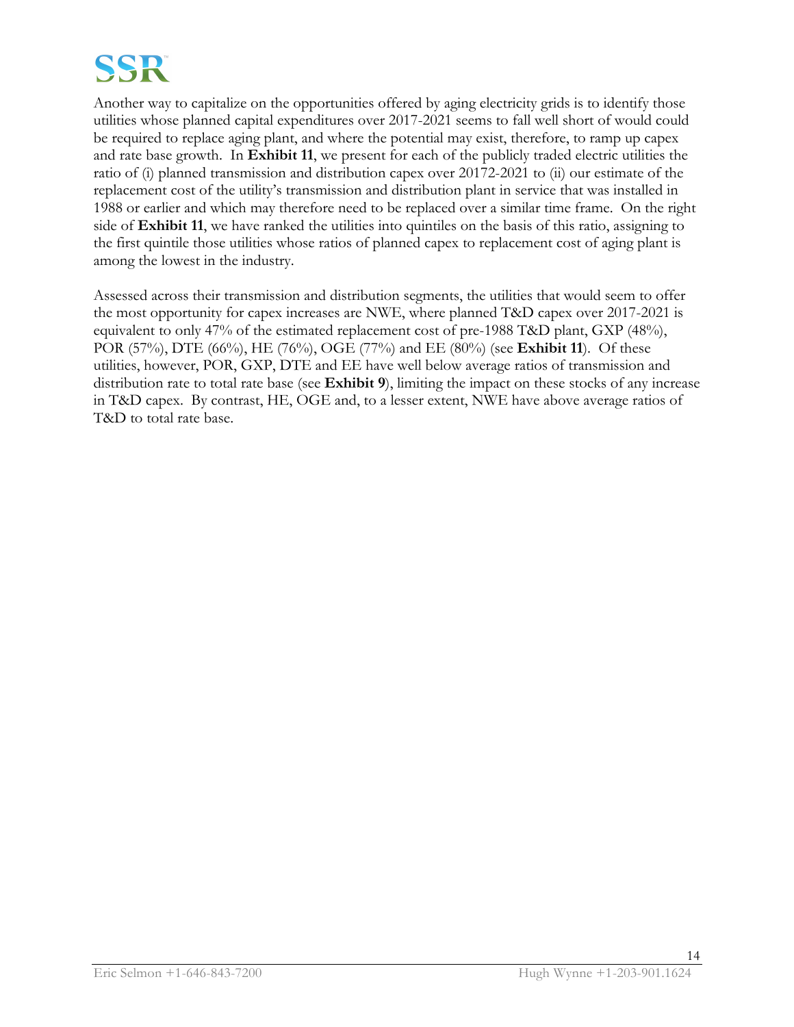

Another way to capitalize on the opportunities offered by aging electricity grids is to identify those utilities whose planned capital expenditures over 2017-2021 seems to fall well short of would could be required to replace aging plant, and where the potential may exist, therefore, to ramp up capex and rate base growth. In **Exhibit 11**, we present for each of the publicly traded electric utilities the ratio of (i) planned transmission and distribution capex over 20172-2021 to (ii) our estimate of the replacement cost of the utility's transmission and distribution plant in service that was installed in 1988 or earlier and which may therefore need to be replaced over a similar time frame. On the right side of **Exhibit 11**, we have ranked the utilities into quintiles on the basis of this ratio, assigning to the first quintile those utilities whose ratios of planned capex to replacement cost of aging plant is among the lowest in the industry.

Assessed across their transmission and distribution segments, the utilities that would seem to offer the most opportunity for capex increases are NWE, where planned T&D capex over 2017-2021 is equivalent to only 47% of the estimated replacement cost of pre-1988 T&D plant, GXP (48%), POR (57%), DTE (66%), HE (76%), OGE (77%) and EE (80%) (see **Exhibit 11**). Of these utilities, however, POR, GXP, DTE and EE have well below average ratios of transmission and distribution rate to total rate base (see **Exhibit 9**), limiting the impact on these stocks of any increase in T&D capex. By contrast, HE, OGE and, to a lesser extent, NWE have above average ratios of T&D to total rate base.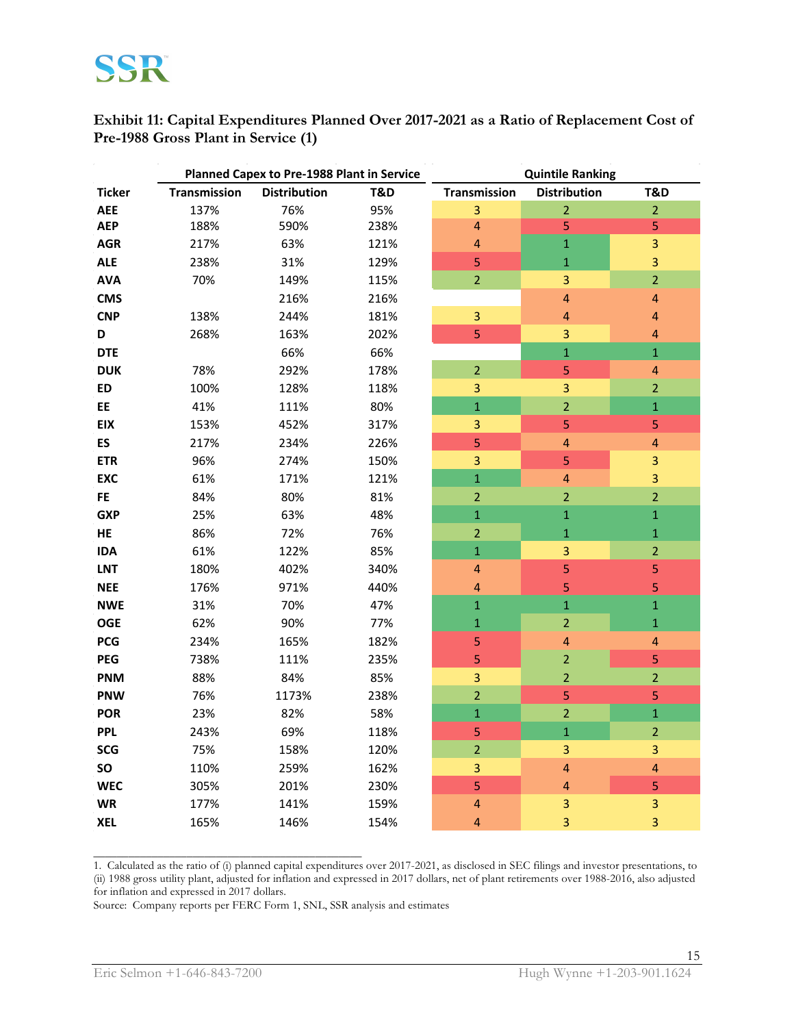**Exhibit 11: Capital Expenditures Planned Over 2017-2021 as a Ratio of Replacement Cost of Pre-1988 Gross Plant in Service (1)**

|               | Planned Capex to Pre-1988 Plant in Service |                     | <b>Quintile Ranking</b> |                         |                         |                         |
|---------------|--------------------------------------------|---------------------|-------------------------|-------------------------|-------------------------|-------------------------|
| <b>Ticker</b> | <b>Transmission</b>                        | <b>Distribution</b> | T&D                     | <b>Transmission</b>     | <b>Distribution</b>     | <b>T&amp;D</b>          |
| <b>AEE</b>    | 137%                                       | 76%                 | 95%                     | 3                       | $\overline{2}$          | $\overline{2}$          |
| <b>AEP</b>    | 188%                                       | 590%                | 238%                    | 4                       | 5                       | 5                       |
| <b>AGR</b>    | 217%                                       | 63%                 | 121%                    | 4                       | $\overline{1}$          | 3                       |
| <b>ALE</b>    | 238%                                       | 31%                 | 129%                    | 5                       | $\overline{1}$          | 3                       |
| <b>AVA</b>    | 70%                                        | 149%                | 115%                    | $\overline{2}$          | $\overline{\mathbf{3}}$ | $\overline{2}$          |
| <b>CMS</b>    |                                            | 216%                | 216%                    |                         | 4                       | $\overline{\mathbf{4}}$ |
| <b>CNP</b>    | 138%                                       | 244%                | 181%                    | 3                       | $\overline{\mathbf{r}}$ | $\overline{\mathbf{r}}$ |
| D             | 268%                                       | 163%                | 202%                    | 5                       | $\overline{\mathbf{3}}$ | $\overline{\mathbf{4}}$ |
| <b>DTE</b>    |                                            | 66%                 | 66%                     |                         | $\mathbf{1}$            | $\mathbf{1}$            |
| <b>DUK</b>    | 78%                                        | 292%                | 178%                    | $\overline{2}$          | 5                       | $\overline{\mathbf{4}}$ |
| ED            | 100%                                       | 128%                | 118%                    | 3                       | 3                       | $\overline{2}$          |
| EE            | 41%                                        | 111%                | 80%                     | $\mathbf 1$             | $\overline{a}$          | $\overline{1}$          |
| <b>EIX</b>    | 153%                                       | 452%                | 317%                    | 3                       | 5                       | 5                       |
| <b>ES</b>     | 217%                                       | 234%                | 226%                    | $\overline{5}$          | $\overline{\mathbf{r}}$ | $\overline{\mathbf{4}}$ |
| <b>ETR</b>    | 96%                                        | 274%                | 150%                    | 3                       | 5                       | 3                       |
| <b>EXC</b>    | 61%                                        | 171%                | 121%                    | $\overline{1}$          | $\overline{\mathbf{4}}$ | $\overline{3}$          |
| <b>FE</b>     | 84%                                        | 80%                 | 81%                     | $\overline{2}$          | $\overline{2}$          | $\overline{2}$          |
| <b>GXP</b>    | 25%                                        | 63%                 | 48%                     | $\mathbf 1$             | $\mathbf{1}$            | $\mathbf 1$             |
| HE            | 86%                                        | 72%                 | 76%                     | $\overline{2}$          | $\mathbf{1}$            | $\mathbf 1$             |
| <b>IDA</b>    | 61%                                        | 122%                | 85%                     | $\mathbf{1}$            | 3                       | $\overline{2}$          |
| <b>LNT</b>    | 180%                                       | 402%                | 340%                    | $\overline{\mathbf{r}}$ | 5                       | 5                       |
| <b>NEE</b>    | 176%                                       | 971%                | 440%                    | $\overline{a}$          | 5                       | 5                       |
| <b>NWE</b>    | 31%                                        | 70%                 | 47%                     | $\mathbf{1}$            | $\overline{1}$          | $\mathbf{1}$            |
| <b>OGE</b>    | 62%                                        | 90%                 | 77%                     | $\mathbf 1$             | $\overline{c}$          | $\overline{1}$          |
| <b>PCG</b>    | 234%                                       | 165%                | 182%                    | 5                       | 4                       | 4                       |
| <b>PEG</b>    | 738%                                       | 111%                | 235%                    | 5                       | $\overline{2}$          | 5                       |
| <b>PNM</b>    | 88%                                        | 84%                 | 85%                     | 3                       | $\overline{2}$          | $\overline{2}$          |
| <b>PNW</b>    | 76%                                        | 1173%               | 238%                    | $\overline{2}$          | 5                       | 5                       |
| <b>POR</b>    | 23%                                        | 82%                 | 58%                     | $\mathbf{1}$            | $\overline{2}$          | $\overline{1}$          |
| <b>PPL</b>    | 243%                                       | 69%                 | 118%                    | 5                       | $\overline{1}$          | $\overline{2}$          |
| <b>SCG</b>    | 75%                                        | 158%                | 120%                    | $\overline{2}$          | 3                       | 3                       |
| SO            | 110%                                       | 259%                | 162%                    | 3                       | 4                       | $\overline{a}$          |
| <b>WEC</b>    | 305%                                       | 201%                | 230%                    | 5                       | $\overline{\mathbf{r}}$ | 5                       |
| <b>WR</b>     | 177%                                       | 141%                | 159%                    | 4                       | 3                       | 3                       |
| <b>XEL</b>    | 165%                                       | 146%                | 154%                    | $\overline{a}$          | $\overline{\mathbf{3}}$ | 3                       |

1. Calculated as the ratio of (i) planned capital expenditures over 2017-2021, as disclosed in SEC filings and investor presentations, to (ii) 1988 gross utility plant, adjusted for inflation and expressed in 2017 dollars, net of plant retirements over 1988-2016, also adjusted for inflation and expressed in 2017 dollars.

Source: Company reports per FERC Form 1, SNL, SSR analysis and estimates

\_\_\_\_\_\_\_\_\_\_\_\_\_\_\_\_\_\_\_\_\_\_\_\_\_\_\_\_\_\_\_\_\_\_\_\_\_\_\_\_\_\_\_\_\_\_